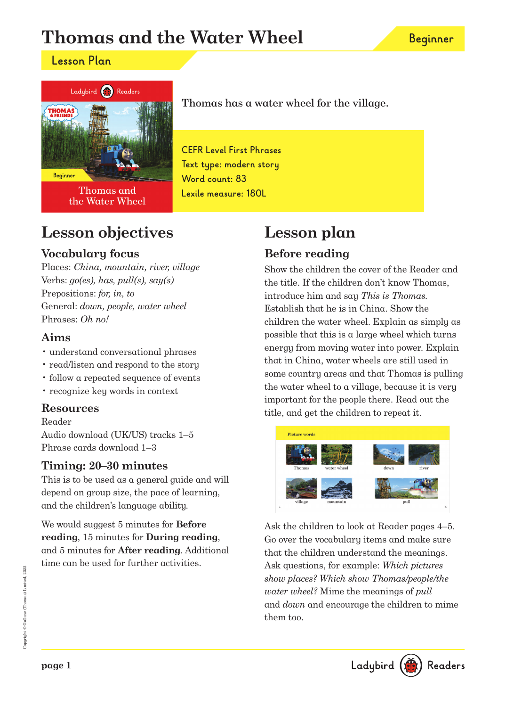# **Thomas and the Water Wheel**

### **Lesson Plan**



Thomas and the Water Wheel

## **Lesson objectives**

### **Vocabulary focus**

Places: China, mountain, river, village Verbs:  $g_0(es)$ , has, pull(s), say(s) Prepositions: for, in, to General: down, people, water wheel Phrases: Oh no!

### **Aims**

- understand conversational phrases
- read/listen and respond to the story
- follow a repeated sequence of events
- recognize key words in context

### **Resources**

Reader Audio download (UK/US) tracks 1–5 Phrase cards download 1–3

### **Timing: 20–30 minutes**

This is to be used as a general guide and will depend on group size, the pace of learning, and the children's language ability.

We would suggest 5 minutes for **Before reading**, 15 minutes for **During reading**, and 5 minutes for **After reading**. Additional time can be used for further activities.

Thomas has a water wheel for the village.

**CEFR Level First Phrases Text type: modern story Word count: 83 Lexile measure: 180L**

# **Lesson plan**

### **Before reading**

Show the children the cover of the Reader and the title. If the children don't know Thomas, introduce him and say This is Thomas. Establish that he is in China. Show the children the water wheel. Explain as simply as possible that this is a large wheel which turns energy from moving water into power. Explain that in China, water wheels are still used in some country areas and that Thomas is pulling the water wheel to a village, because it is very important for the people there. Read out the title, and get the children to repeat it.



Ask the children to look at Reader pages 4–5. Go over the vocabulary items and make sure that the children understand the meanings. Ask questions, for example: Which pictures show places? Which show Thomas/people/the water wheel? Mime the meanings of pull and down and encourage the children to mime them too.